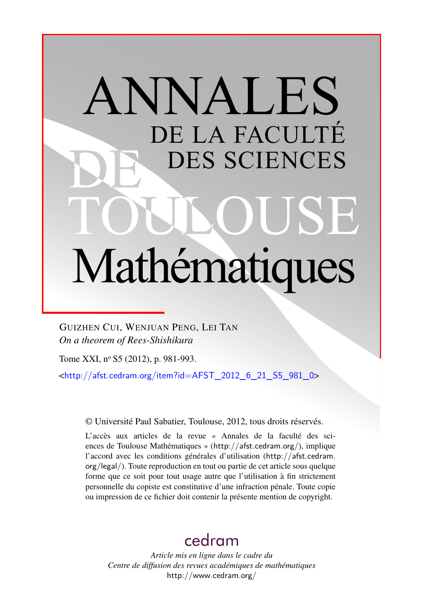# ANNALES DE LA FACULTÉ DES SCIENCES Mathématiques

GUIZHEN CUI, WENJUAN PENG, LEI TAN *On a theorem of Rees-Shishikura*

Tome XXI, nº S5 (2012), p. 981-993.

 $\frac{\text{th}}{\text{t}}/$ /afst.cedram.org/item?id=AFST\_2012\_6\_21\_S5\_981\_0>

© Université Paul Sabatier, Toulouse, 2012, tous droits réservés.

L'accès aux articles de la revue « Annales de la faculté des sciences de Toulouse Mathématiques » (<http://afst.cedram.org/>), implique l'accord avec les conditions générales d'utilisation ([http://afst.cedram.](http://afst.cedram.org/legal/) [org/legal/](http://afst.cedram.org/legal/)). Toute reproduction en tout ou partie de cet article sous quelque forme que ce soit pour tout usage autre que l'utilisation à fin strictement personnelle du copiste est constitutive d'une infraction pénale. Toute copie ou impression de ce fichier doit contenir la présente mention de copyright.

# [cedram](http://www.cedram.org/)

*Article mis en ligne dans le cadre du Centre de diffusion des revues académiques de mathématiques* <http://www.cedram.org/>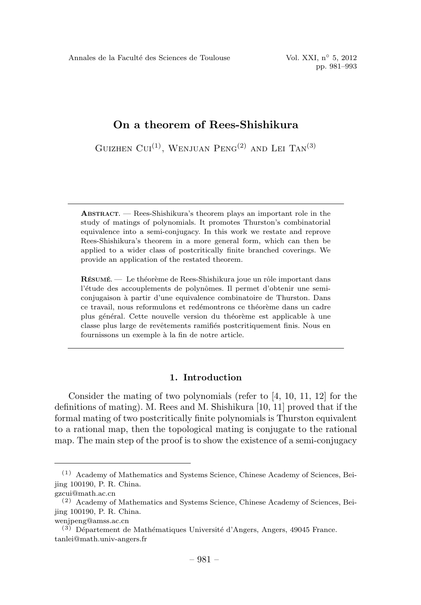GUIZHEN CUI<sup>(1)</sup>, WENJUAN PENG<sup>(2)</sup> AND LEI TAN<sup>(3)</sup>

ABSTRACT. — Rees-Shishikura's theorem plays an important role in the study of matings of polynomials. It promotes Thurston's combinatorial equivalence into a semi-conjugacy. In this work we restate and reprove Rees-Shishikura's theorem in a more general form, which can then be applied to a wider class of postcritically finite branched coverings. We provide an application of the restated theorem.

 $R$ ÉSUMÉ. — Le théorème de Rees-Shishikura joue un rôle important dans l'étude des accouplements de polynômes. Il permet d'obtenir une semiconjugaison `a partir d'une equivalence combinatoire de Thurston. Dans ce travail, nous reformulons et redémontrons ce théorème dans un cadre plus général. Cette nouvelle version du théorème est applicable à une classe plus large de revêtements ramifiés postcritiquement finis. Nous en fournissons un exemple à la fin de notre article.

# 1. Introduction

Consider the mating of two polynomials (refer to [4, 10, 11, 12] for the definitions of mating). M. Rees and M. Shishikura [10, 11] proved that if the formal mating of two postcritically finite polynomials is Thurston equivalent to a rational map, then the topological mating is conjugate to the rational map. The main step of the proof is to show the existence of a semi-conjugacy

<sup>(1)</sup> Academy of Mathematics and Systems Science, Chinese Academy of Sciences, Beijing 100190, P. R. China.

gzcui@math.ac.cn

<sup>(2)</sup> Academy of Mathematics and Systems Science, Chinese Academy of Sciences, Beijing 100190, P. R. China.

wenjpeng@amss.ac.cn

 $(3)$  Département de Mathématiques Université d'Angers, Angers, 49045 France. tanlei@math.univ-angers.fr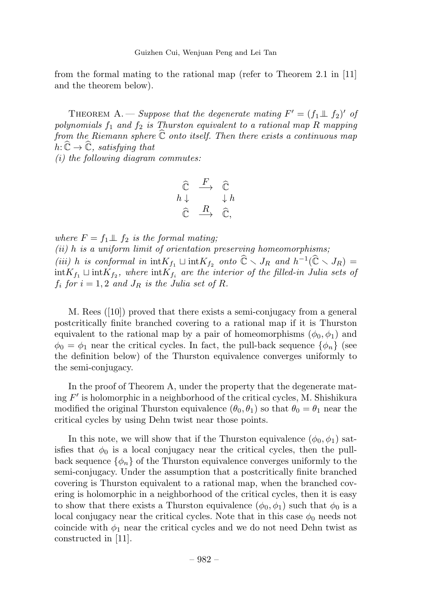from the formal mating to the rational map (refer to Theorem 2.1 in [11] and the theorem below).

THEOREM A. — Suppose that the degenerate mating  $F' = (f_1 \perp \perp f_2)'$  of polynomials  $f_1$  and  $f_2$  is Thurston equivalent to a rational map R mapping from the Riemann sphere  $\mathbb C$  onto itself. Then there exists a continuous map  $h: \mathbb{C} \to \mathbb{C}$ , satisfying that

(i) the following diagram commutes:

$$
\begin{array}{ccc}\n\widehat{\mathbb{C}} & \xrightarrow{F} & \widehat{\mathbb{C}} \\
h \downarrow & & \downarrow h \\
\widehat{\mathbb{C}} & \xrightarrow{R} & \widehat{\mathbb{C}},\n\end{array}
$$

where  $F = f_1 \perp f_2$  is the formal mating;  $(ii)$  h is a uniform limit of orientation preserving homeomorphisms; (iii) h is conformal in  $\mathrm{int}K_{f_1} \sqcup \mathrm{int}K_{f_2}$  onto  $\mathbb{C} \setminus J_R$  and  $h^{-1}(\mathbb{C} \setminus J_R) =$  $\int \inf K_{f_1} \sqcup \int \inf K_{f_2}$ , where  $\int \inf K_{f_i}$  are the interior of the filled-in Julia sets of  $f_i$  for  $i = 1, 2$  and  $J_R$  is the Julia set of R.

M. Rees ([10]) proved that there exists a semi-conjugacy from a general postcritically finite branched covering to a rational map if it is Thurston equivalent to the rational map by a pair of homeomorphisms  $(\phi_0, \phi_1)$  and  $\phi_0 = \phi_1$  near the critical cycles. In fact, the pull-back sequence  $\{\phi_n\}$  (see the definition below) of the Thurston equivalence converges uniformly to the semi-conjugacy.

In the proof of Theorem A, under the property that the degenerate mating  $F'$  is holomorphic in a neighborhood of the critical cycles, M. Shishikura modified the original Thurston equivalence  $(\theta_0, \theta_1)$  so that  $\theta_0 = \theta_1$  near the critical cycles by using Dehn twist near those points.

In this note, we will show that if the Thurston equivalence  $(\phi_0, \phi_1)$  satisfies that  $\phi_0$  is a local conjugacy near the critical cycles, then the pullback sequence  $\{\phi_n\}$  of the Thurston equivalence converges uniformly to the semi-conjugacy. Under the assumption that a postcritically finite branched covering is Thurston equivalent to a rational map, when the branched covering is holomorphic in a neighborhood of the critical cycles, then it is easy to show that there exists a Thurston equivalence  $(\phi_0, \phi_1)$  such that  $\phi_0$  is a local conjugacy near the critical cycles. Note that in this case  $\phi_0$  needs not coincide with  $\phi_1$  near the critical cycles and we do not need Dehn twist as constructed in [11].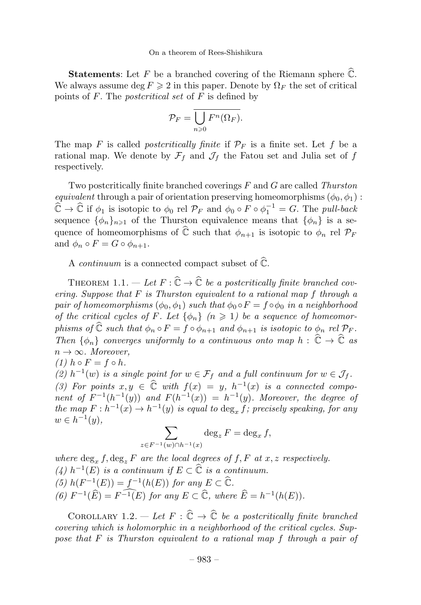**Statements:** Let  $F$  be a branched covering of the Riemann sphere  $\mathbb{C}$ . We always assume deg  $F \geq 2$  in this paper. Denote by  $\Omega_F$  the set of critical points of  $F$ . The *postcritical set* of  $F$  is defined by

$$
\mathcal{P}_F = \overline{\bigcup_{n\geqslant 0} F^n(\Omega_F)}.
$$

The map F is called *postcritically finite* if  $\mathcal{P}_F$  is a finite set. Let f be a rational map. We denote by  $\mathcal{F}_f$  and  $\mathcal{J}_f$  the Fatou set and Julia set of f respectively.

Two postcritically finite branched coverings  $F$  and  $G$  are called Thurston equivalent through a pair of orientation preserving homeomorphisms  $(\phi_0, \phi_1)$ :  $\widehat{\mathbb{C}} \to \widehat{\mathbb{C}}$  if  $\phi_1$  is isotopic to  $\phi_0$  rel  $\mathcal{P}_F$  and  $\phi_0 \circ F \circ \phi_1^{-1} = G$ . The *pull-back* sequence  $\{\phi_n\}_{n\geq 1}$  of the Thurston equivalence means that  $\{\phi_n\}$  is a sequence of homeomorphisms of  $\mathbb C$  such that  $\phi_{n+1}$  is isotopic to  $\phi_n$  rel  $\mathcal P_F$ and  $\phi_n \circ F = G \circ \phi_{n+1}$ .

A *continuum* is a connected compact subset of  $\mathbb{C}$ .

THEOREM 1.1.  $-\text{Let } F : \mathbb{C} \to \mathbb{C}$  be a postcritically finite branched covering. Suppose that  $F$  is Thurston equivalent to a rational map  $f$  through a pair of homeomorphisms  $(\phi_0, \phi_1)$  such that  $\phi_0 \circ F = f \circ \phi_0$  in a neighborhood of the critical cycles of F. Let  $\{\phi_n\}$   $(n \geq 1)$  be a sequence of homeomorphisms of  $\mathbb C$  such that  $\phi_n \circ F = f \circ \phi_{n+1}$  and  $\phi_{n+1}$  is isotopic to  $\phi_n$  rel  $\mathcal P_F$ . Then  $\{\phi_n\}$  converges uniformly to a continuous onto map  $h: \mathbb{C} \to \mathbb{C}$  as  $n \to \infty$ . Moreover,

(1)  $h \circ F = f \circ h$ .

(2)  $h^{-1}(w)$  is a single point for  $w \in \mathcal{F}_f$  and a full continuum for  $w \in \mathcal{J}_f$ . (3) For points  $x, y \in \mathbb{C}$  with  $f(x) = y$ ,  $h^{-1}(x)$  is a connected component of  $F^{-1}(h^{-1}(y))$  and  $F(h^{-1}(x)) = h^{-1}(y)$ . Moreover, the degree of the map  $F : h^{-1}(x) \to h^{-1}(y)$  is equal to  $\deg_x f$ ; precisely speaking, for any  $w \in h^{-1}(y)$ ,

$$
\sum_{z \in F^{-1}(w) \cap h^{-1}(x)} \deg_z F = \deg_x f,
$$

where  $\deg_x f, \deg_z F$  are the local degrees of f, F at x, z respectively. (4)  $h^{-1}(E)$  is a continuum if  $E \subset \widehat{\mathbb{C}}$  is a continuum. (5)  $h(F^{-1}(E)) = f^{-1}(h(E))$  for any  $E \subset \mathbb{C}$ . (6)  $F^{-1}(\widehat{E}) = F^{-1}(E)$  for any  $E \subset \widehat{\mathbb{C}}$ , where  $\widehat{E} = h^{-1}(h(E)).$ 

COROLLARY 1.2.  $-\text{Let } F : \mathbb{C} \to \mathbb{C}$  be a postcritically finite branched covering which is holomorphic in a neighborhood of the critical cycles. Suppose that F is Thurston equivalent to a rational map f through a pair of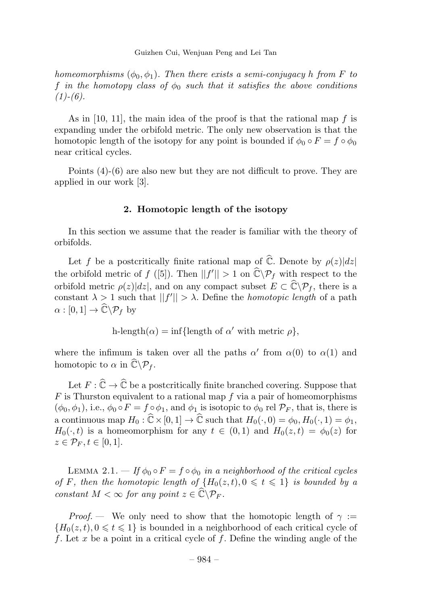homeomorphisms  $(\phi_0, \phi_1)$ . Then there exists a semi-conjugacy h from F to f in the homotopy class of  $\phi_0$  such that it satisfies the above conditions  $(1)-(6).$ 

As in [10, 11], the main idea of the proof is that the rational map  $f$  is expanding under the orbifold metric. The only new observation is that the homotopic length of the isotopy for any point is bounded if  $\phi_0 \circ F = f \circ \phi_0$ near critical cycles.

Points (4)-(6) are also new but they are not difficult to prove. They are applied in our work [3].

# 2. Homotopic length of the isotopy

In this section we assume that the reader is familiar with the theory of orbifolds.

Let f be a postcritically finite rational map of  $\mathbb{C}$ . Denote by  $\rho(z)|dz|$ the orbifold metric of  $f([5])$ . Then  $||f'|| > 1$  on  $\mathbb{C} \backslash \mathcal{P}_f$  with respect to the orbifold metric  $\rho(z)|dz|$ , and on any compact subset  $E \subset \mathbb{C}\backslash \mathcal{P}_f$ , there is a constant  $\lambda \geq 1$  such that  $||f'|| > \lambda$ . Define the *homotopic length* of a path  $\alpha : [0,1] \to \mathbb{C} \backslash \mathcal{P}_f$  by

$$
h\text{-length}(\alpha) = \inf\{\text{length of } \alpha' \text{ with metric } \rho\},\
$$

where the infimum is taken over all the paths  $\alpha'$  from  $\alpha(0)$  to  $\alpha(1)$  and homotopic to  $\alpha$  in  $\mathbb{C}\backslash \mathcal{P}_f$ .

Let  $F : \mathbb{C} \to \mathbb{C}$  be a postcritically finite branched covering. Suppose that  $F$  is Thurston equivalent to a rational map f via a pair of homeomorphisms  $(\phi_0, \phi_1)$ , i.e.,  $\phi_0 \circ F = f \circ \phi_1$ , and  $\phi_1$  is isotopic to  $\phi_0$  rel  $\mathcal{P}_F$ , that is, there is a continuous map  $H_0: \mathbb{C} \times [0, 1] \to \mathbb{C}$  such that  $H_0(\cdot, 0) = \phi_0, H_0(\cdot, 1) = \phi_1$ ,  $H_0(\cdot, t)$  is a homeomorphism for any  $t \in (0, 1)$  and  $H_0(z, t) = \phi_0(z)$  for  $z \in \mathcal{P}_F, t \in [0,1].$ 

LEMMA 2.1. — If  $\phi_0 \circ F = f \circ \phi_0$  in a neighborhood of the critical cycles of F, then the homotopic length of  $\{H_0(z,t), 0 \leq t \leq 1\}$  is bounded by a constant  $M < \infty$  for any point  $z \in \mathbb{C} \backslash \mathcal{P}_F$ .

*Proof.* — We only need to show that the homotopic length of  $\gamma$ :  ${H_0(z,t), 0 \le t \le 1}$  is bounded in a neighborhood of each critical cycle of f. Let x be a point in a critical cycle of f. Define the winding angle of the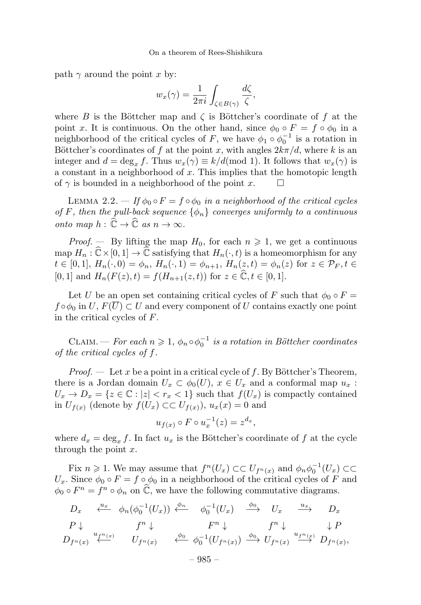path  $\gamma$  around the point x by:

$$
w_x(\gamma) = \frac{1}{2\pi i} \int_{\zeta \in B(\gamma)} \frac{d\zeta}{\zeta},
$$

where B is the Böttcher map and  $\zeta$  is Böttcher's coordinate of f at the point x. It is continuous. On the other hand, since  $\phi_0 \circ F = f \circ \phi_0$  in a neighborhood of the critical cycles of F, we have  $\phi_1 \circ \phi_0^{-1}$  is a rotation in Böttcher's coordinates of f at the point x, with angles  $2k\pi/d$ , where k is an integer and  $d = \deg_x f$ . Thus  $w_x(\gamma) \equiv k/d \pmod{1}$ . It follows that  $w_x(\gamma)$  is a constant in a neighborhood of  $x$ . This implies that the homotopic length of  $\gamma$  is bounded in a neighborhood of the point x.

LEMMA 2.2. — If  $\phi_0 \circ F = f \circ \phi_0$  in a neighborhood of the critical cycles of F, then the pull-back sequence  $\{\phi_n\}$  converges uniformly to a continuous onto map  $h: \mathbb{C} \to \mathbb{C}$  as  $n \to \infty$ .

*Proof.* — By lifting the map  $H_0$ , for each  $n \geq 1$ , we get a continuous map  $H_n : \mathbb{C} \times [0,1] \to \mathbb{C}$  satisfying that  $H_n(\cdot,t)$  is a homeomorphism for any  $t \in [0,1], H_n(\cdot, 0) = \phi_n, H_n(\cdot, 1) = \phi_{n+1}, H_n(z, t) = \phi_n(z)$  for  $z \in \mathcal{P}_F, t \in$ [0, 1] and  $H_n(F(z), t) = f(H_{n+1}(z, t))$  for  $z \in \mathbb{C}, t \in [0, 1]$ .

Let U be an open set containing critical cycles of F such that  $\phi_0 \circ F =$  $f \circ \phi_0$  in  $U, F(\overline{U}) \subset U$  and every component of U contains exactly one point in the critical cycles of F.

CLAIM. — For each  $n \geqslant 1$ ,  $\phi_n \circ \phi_0^{-1}$  is a rotation in Böttcher coordinates of the critical cycles of f.

*Proof.* — Let x be a point in a critical cycle of f. By Böttcher's Theorem, there is a Jordan domain  $U_x \subset \phi_0(U)$ ,  $x \in U_x$  and a conformal map  $u_x$ :  $U_x \to D_x = \{z \in \mathbb{C} : |z| < r_x < 1\}$  such that  $f(U_x)$  is compactly contained in  $U_{f(x)}$  (denote by  $f(U_x) \subset U_{f(x)}$ ),  $u_x(x) = 0$  and

$$
u_{f(x)} \circ F \circ u_x^{-1}(z) = z^{d_x},
$$

where  $d_x = \deg_x f$ . In fact  $u_x$  is the Böttcher's coordinate of f at the cycle through the point  $x$ .

Fix  $n \geq 1$ . We may assume that  $f^{n}(U_x) \subset \subset U_{f^{n}(x)}$  and  $\phi_n \phi_0^{-1}(U_x) \subset \subset$  $U_x$ . Since  $\phi_0 \circ F = f \circ \phi_0$  in a neighborhood of the critical cycles of F and  $\phi_0 \circ F^n = f^n \circ \phi_n$  on  $\hat{\mathbb{C}}$ , we have the following commutative diagrams.

$$
D_x \xrightarrow{\mu_x} \phi_n(\phi_0^{-1}(U_x)) \xleftarrow{\phi_n} \phi_0^{-1}(U_x) \xrightarrow{\phi_0} U_x \xrightarrow{u_x} D_x
$$
  
\n
$$
P \downarrow \qquad f^n \downarrow \qquad F^n \downarrow \qquad f^n \downarrow \qquad P
$$
  
\n
$$
D_{f^n(x)} \xleftarrow{u_{f^n(x)}} U_{f^n(x)} \xleftarrow{\phi_0} \phi_0^{-1}(U_{f^n(x)}) \xrightarrow{\phi_0} U_{f^n(x)} \xrightarrow{u_{f^n(x)}} D_{f^n(x)},
$$

– 985 –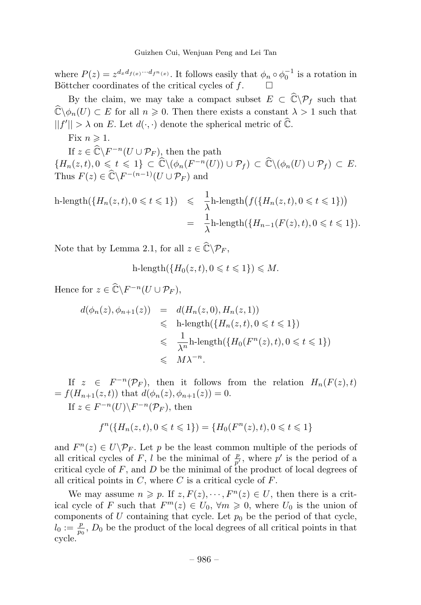where  $P(z) = z^{d_x d_{f(x)} \cdots d_{f^n(x)}}$ . It follows easily that  $\phi_n \circ \phi_0^{-1}$  is a rotation in Böttcher coordinates of the critical cycles of  $f$ .  $\Box$ 

By the claim, we may take a compact subset  $E \subset \mathbb{C} \backslash \mathcal{P}_f$  such that  $\mathbb{C}\backslash\phi_n(U) \subset E$  for all  $n \geqslant 0$ . Then there exists a constant  $\lambda > 1$  such that  $||f'|| > \lambda$  on E. Let  $d(\cdot, \cdot)$  denote the spherical metric of  $\mathbb{C}$ .

Fix  $n \geq 1$ .

If  $z \in \mathbb{C} \backslash F^{-n}(U \cup \mathcal{P}_F)$ , then the path  ${H_n(z,t), 0 \leq t \leq 1} \subset \widehat{\mathbb{C}} \setminus (\phi_n(F^{-n}(U)) \cup \mathcal{P}_f) \subset \widehat{\mathbb{C}} \setminus (\phi_n(U) \cup \mathcal{P}_f) \subset E.$ Thus  $F(z) \in \mathbb{C} \backslash F^{-(n-1)}(U \cup \mathcal{P}_F)$  and

$$
\begin{array}{rcl}\n\text{h-length}(\{H_n(z,t), 0 \leqslant t \leqslant 1\}) & \leqslant & \frac{1}{\lambda}\text{h-length}\big(f(\{H_n(z,t), 0 \leqslant t \leqslant 1\})\big) \\
& = & \frac{1}{\lambda}\text{h-length}(\{H_{n-1}(F(z),t), 0 \leqslant t \leqslant 1\}).\n\end{array}
$$

Note that by Lemma 2.1, for all  $z \in \mathbb{C} \backslash \mathcal{P}_F$ ,

$$
\text{h-length}(\{H_0(z,t), 0 \leq t \leq 1\}) \leq M.
$$

Hence for  $z \in \mathbb{C} \backslash F^{-n}(U \cup \mathcal{P}_F)$ ,

$$
d(\phi_n(z), \phi_{n+1}(z)) = d(H_n(z, 0), H_n(z, 1))
$$
  
\$\leq\$ h-length( $\{H_n(z, t), 0 \leq t \leq 1\}$ )  
\$\leq\$  $\frac{1}{\lambda^n}$ h-length( $\{H_0(F^n(z), t), 0 \leq t \leq 1\}$ )  
\$\leq\$  $M\lambda^{-n}$ .

If  $z \in F^{-n}(\mathcal{P}_F)$ , then it follows from the relation  $H_n(F(z), t)$  $= f(H_{n+1}(z, t))$  that  $d(\phi_n(z), \phi_{n+1}(z)) = 0$ . If  $z \in F^{-n}(U) \backslash F^{-n}(\mathcal{P}_F)$ , then

$$
f^{n}(\lbrace H_{n}(z,t), 0 \leq t \leq 1 \rbrace) = \lbrace H_{0}(F^{n}(z), t), 0 \leq t \leq 1 \rbrace
$$

and  $F^{n}(z) \in U\backslash \mathcal{P}_F$ . Let p be the least common multiple of the periods of all critical cycles of F, l be the minimal of  $\frac{p}{p'}$ , where p' is the period of a critical cycle of  $F$ , and  $D$  be the minimal of the product of local degrees of all critical points in  $C$ , where  $C$  is a critical cycle of  $F$ .

We may assume  $n \geqslant p$ . If  $z, F(z), \dots, F<sup>n</sup>(z) \in U$ , then there is a critical cycle of F such that  $F^m(z) \in U_0$ ,  $\forall m \geq 0$ , where  $U_0$  is the union of components of U containing that cycle. Let  $p_0$  be the period of that cycle,  $l_0 := \frac{p}{p_0}$ ,  $D_0$  be the product of the local degrees of all critical points in that cycle.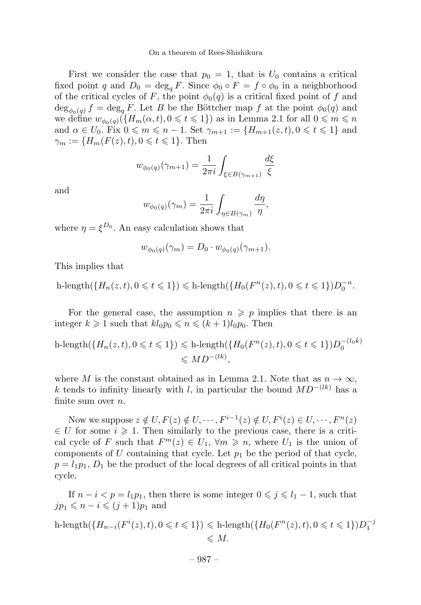First we consider the case that  $p_0 = 1$ , that is  $U_0$  contains a critical fixed point q and  $D_0 = \deg_a F$ . Since  $\phi_0 \circ F = f \circ \phi_0$  in a neighborhood of the critical cycles of F, the point  $\phi_0(q)$  is a critical fixed point of f and  $\deg_{\phi_0(q)} f = \deg_q F$ . Let B be the Böttcher map f at the point  $\phi_0(q)$  and we define  $w_{\phi_0(q)}(\lbrace H_m(\alpha, t), 0 \leq t \leq 1 \rbrace)$  as in Lemma 2.1 for all  $0 \leq m \leq n$ and  $\alpha \in U_0$ . Fix  $0 \leq m \leq n-1$ . Set  $\gamma_{m+1} := \{H_{m+1}(z,t), 0 \leq t \leq 1\}$  and  $\gamma_m := \{ H_m(F(z), t), 0 \leq t \leq 1 \}.$  Then

$$
w_{\phi_0(q)}(\gamma_{m+1}) = \frac{1}{2\pi i} \int_{\xi \in B(\gamma_{m+1})} \frac{d\xi}{\xi}
$$

and

$$
w_{\phi_0(q)}(\gamma_m) = \frac{1}{2\pi i} \int_{\eta \in B(\gamma_m)} \frac{d\eta}{\eta},
$$

where  $\eta = \xi^{D_0}$ . An easy calculation shows that

$$
w_{\phi_0(q)}(\gamma_m) = D_0 \cdot w_{\phi_0(q)}(\gamma_{m+1}).
$$

This implies that

 $h\text{-length}(\{H_n(z,t), 0 \leqslant t \leqslant 1\}) \leqslant h\text{-length}(\{H_0(F^n(z), t), 0 \leqslant t \leqslant 1\})D_0^{-n}.$ 

For the general case, the assumption  $n \geqslant p$  implies that there is an integer  $k \geqslant 1$  such that  $kl_0 p_0 \leqslant n \leqslant (k+1)l_0 p_0$ . Then

$$
\begin{aligned} \text{h-length}(\{H_n(z,t), 0 \leq t \leq 1\}) &\leq \text{h-length}(\{H_0(F^n(z), t), 0 \leq t \leq 1\}) D_0^{-(l_0 k)} \\ &\leq M D^{-(lk)}, \end{aligned}
$$

where M is the constant obtained as in Lemma 2.1. Note that as  $n \to \infty$ , k tends to infinity linearly with l, in particular the bound  $MD^{-(lk)}$  has a finite sum over  $n$ .

Now we suppose  $z \notin U, F(z) \notin U, \dots, F^{i-1}(z) \notin U, F^i(z) \in U, \dots, F^n(z)$  $\in U$  for some  $i \geqslant 1$ . Then similarly to the previous case, there is a critical cycle of F such that  $F^m(z) \in U_1$ ,  $\forall m \geq n$ , where  $U_1$  is the union of components of U containing that cycle. Let  $p_1$  be the period of that cycle,  $p = l_1p_1, D_1$  be the product of the local degrees of all critical points in that cycle.

If  $n - i < p = l_1p_1$ , then there is some integer  $0 \le j \le l_1 - 1$ , such that  $jp_1 \leqslant n - i \leqslant (j + 1)p_1$  and

h-length({ $H_{n-i}(F^i(z), t)$ , 0 ≤ t ≤ 1}) ≤ h-length({ $H_0(F^n(z), t)$ , 0 ≤ t ≤ 1}) $D_1^{-j}$  $\leqslant M$ .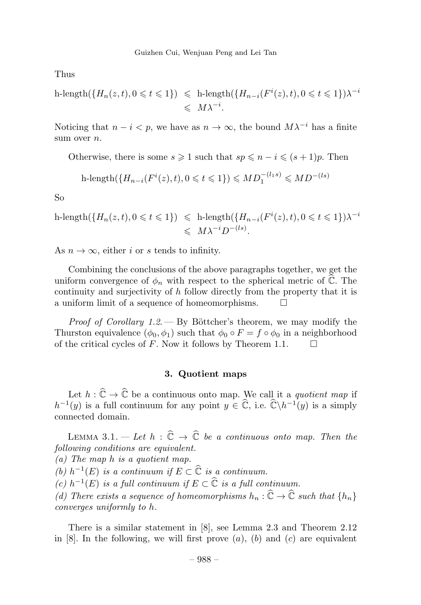Thus

$$
\begin{aligned} \text{h-length}(\{H_n(z,t), 0 \leqslant t \leqslant 1\}) &\leqslant \text{h-length}(\{H_{n-i}(F^i(z), t), 0 \leqslant t \leqslant 1\})\lambda^{-i} \\ &\leqslant \ M\lambda^{-i} .\end{aligned}
$$

Noticing that  $n - i < p$ , we have as  $n \to \infty$ , the bound  $M\lambda^{-i}$  has a finite sum over *n*.

Otherwise, there is some  $s \geqslant 1$  such that  $sp \leqslant n - i \leqslant (s + 1)p$ . Then

$$
h\text{-length}(\{H_{n-i}(F^i(z),t), 0 \leq t \leq 1\}) \leq MD_1^{-(l_1s)} \leq MD^{-(ls)}
$$

So

$$
\begin{aligned} \text{h-length}(\{H_n(z,t), 0 \leqslant t \leqslant 1\}) &\leqslant \text{h-length}(\{H_{n-i}(F^i(z), t), 0 \leqslant t \leqslant 1\})\lambda^{-i} \\ &\leqslant \ M\lambda^{-i}D^{-(ls)}. \end{aligned}
$$

As  $n \to \infty$ , either i or s tends to infinity.

Combining the conclusions of the above paragraphs together, we get the uniform convergence of  $\phi_n$  with respect to the spherical metric of  $\mathbb C$ . The continuity and surjectivity of h follow directly from the property that it is a uniform limit of a sequence of homeomorphisms.  $\square$ 

*Proof of Corollary 1.2.* — By Böttcher's theorem, we may modify the Thurston equivalence  $(\phi_0, \phi_1)$  such that  $\phi_0 \circ F = f \circ \phi_0$  in a neighborhood of the critical cycles of F. Now it follows by Theorem 1.1 of the critical cycles of F. Now it follows by Theorem 1.1.

## 3. Quotient maps

Let  $h: \mathbb{C} \to \mathbb{C}$  be a continuous onto map. We call it a quotient map if  $h^{-1}(y)$  is a full continuum for any point  $y \in \mathbb{C}$ , i.e.  $\mathbb{C} \backslash h^{-1}(y)$  is a simply connected domain.

LEMMA 3.1.  $-$  Let  $h : \mathbb{C} \to \mathbb{C}$  be a continuous onto map. Then the following conditions are equivalent.

(a) The map h is a quotient map.

(b)  $h^{-1}(E)$  is a continuum if  $E \subset \widehat{C}$  is a continuum.

(c)  $h^{-1}(E)$  is a full continuum if  $E \subset \widehat{C}$  is a full continuum.

(d) There exists a sequence of homeomorphisms  $h_n : \mathbb{C} \to \mathbb{C}$  such that  $\{h_n\}$ converges uniformly to h.

There is a similar statement in [8], see Lemma 2.3 and Theorem 2.12 in  $[8]$ . In the following, we will first prove  $(a)$ ,  $(b)$  and  $(c)$  are equivalent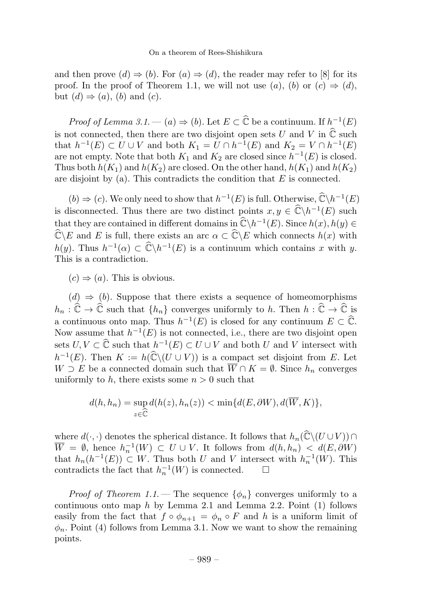and then prove  $(d) \Rightarrow (b)$ . For  $(a) \Rightarrow (d)$ , the reader may refer to [8] for its proof. In the proof of Theorem 1.1, we will not use  $(a)$ ,  $(b)$  or  $(c) \Rightarrow (d)$ , but  $(d) \Rightarrow (a)$ ,  $(b)$  and  $(c)$ .

*Proof of Lemma 3.1.* — (*a*)  $\Rightarrow$  (*b*). Let  $E \subset \mathbb{C}$  be a continuum. If  $h^{-1}(E)$ is not connected, then there are two disjoint open sets U and V in  $\mathbb C$  such that  $h^{-1}(E) \subset U \cup V$  and both  $K_1 = U \cap h^{-1}(E)$  and  $K_2 = V \cap h^{-1}(E)$ are not empty. Note that both  $K_1$  and  $K_2$  are closed since  $h^{-1}(E)$  is closed. Thus both  $h(K_1)$  and  $h(K_2)$  are closed. On the other hand,  $h(K_1)$  and  $h(K_2)$ are disjoint by (a). This contradicts the condition that  $E$  is connected.

 $(b) \Rightarrow (c)$ . We only need to show that  $h^{-1}(E)$  is full. Otherwise,  $\hat{\mathbb{C}} \backslash h^{-1}(E)$ is disconnected. Thus there are two distinct points  $x, y \in \widehat{C} \backslash h^{-1}(E)$  such that they are contained in different domains in  $\widehat{\mathbb{C}} \backslash h^{-1}(E)$ . Since  $h(x), h(y) \in \widehat{\mathbb{C}}$  $\mathbb{C}\backslash E$  and E is full, there exists an arc  $\alpha \subset \mathbb{C}\backslash E$  which connects  $h(x)$  with  $h(y)$ . Thus  $h^{-1}(\alpha) \subset \widehat{\mathbb{C}} \backslash h^{-1}(E)$  is a continuum which contains x with y. This is a contradiction.

 $(c) \Rightarrow (a)$ . This is obvious.

 $(d) \Rightarrow (b)$ . Suppose that there exists a sequence of homeomorphisms  $h_n : \mathbb{C} \to \mathbb{C}$  such that  $\{h_n\}$  converges uniformly to h. Then  $h : \mathbb{C} \to \mathbb{C}$  is a continuous onto map. Thus  $h^{-1}(E)$  is closed for any continuum  $E \subset \mathbb{C}$ . Now assume that  $h^{-1}(E)$  is not connected, i.e., there are two disjoint open sets  $U, V \subset \widehat{\mathbb{C}}$  such that  $h^{-1}(E) \subset U \cup V$  and both U and V intersect with  $h^{-1}(E)$ . Then  $K := h(\mathbb{C} \setminus (U \cup V))$  is a compact set disjoint from E. Let  $W \supset E$  be a connected domain such that  $\overline{W} \cap K = \emptyset$ . Since  $h_n$  converges uniformly to h, there exists some  $n > 0$  such that

$$
d(h, h_n) = \sup_{z \in \widehat{\mathbb{C}}} d(h(z), h_n(z)) < \min\{d(E, \partial W), d(\overline{W}, K)\},
$$

where  $d(·, ·)$  denotes the spherical distance. It follows that  $h_n(\mathbb{C}\setminus (U\cup V)) \cap$  $\overline{W} = \emptyset$ , hence  $h_n^{-1}(W) \subset U \cup V$ . It follows from  $d(h, h_n) < d(E, \partial W)$ that  $h_n(h^{-1}(E)) \subset W$ . Thus both U and V intersect with  $h_n^{-1}(W)$ . This contradicts the fact that  $h_n^{-1}(W)$  is connected. □ contradicts the fact that  $h_n^{-1}(W)$  is connected.

*Proof of Theorem 1.1.* – The sequence  $\{\phi_n\}$  converges uniformly to a continuous onto map  $h$  by Lemma 2.1 and Lemma 2.2. Point  $(1)$  follows easily from the fact that  $f \circ \phi_{n+1} = \phi_n \circ F$  and h is a uniform limit of  $\phi_n$ . Point (4) follows from Lemma 3.1. Now we want to show the remaining points.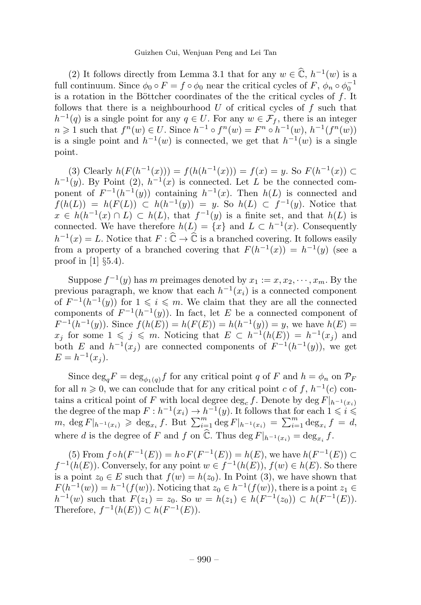(2) It follows directly from Lemma 3.1 that for any  $w \in \mathbb{C}$ ,  $h^{-1}(w)$  is a full continuum. Since  $\phi_0 \circ F = f \circ \phi_0$  near the critical cycles of  $F$ ,  $\phi_n \circ \phi_0^{-1}$ is a rotation in the Böttcher coordinates of the the critical cycles of  $f$ . It follows that there is a neighbourhood  $U$  of critical cycles of  $f$  such that  $h^{-1}(q)$  is a single point for any  $q \in U$ . For any  $w \in \mathcal{F}_f$ , there is an integer  $n \geq 1$  such that  $f^{n}(w) \in U$ . Since  $h^{-1} \circ f^{n}(w) = F^{n} \circ h^{-1}(w)$ ,  $h^{-1}(f^{n}(w))$ is a single point and  $h^{-1}(w)$  is connected, we get that  $h^{-1}(w)$  is a single point.

(3) Clearly  $h(F(h^{-1}(x))) = f(h(h^{-1}(x))) = f(x) = y$ . So  $F(h^{-1}(x))$  ⊂  $h^{-1}(y)$ . By Point (2),  $h^{-1}(x)$  is connected. Let L be the connected component of  $F^{-1}(h^{-1}(y))$  containing  $h^{-1}(x)$ . Then  $h(L)$  is connected and  $f(h(L)) = h(F(L)) \subset h(h^{-1}(y)) = y$ . So  $h(L) \subset f^{-1}(y)$ . Notice that  $x \in h(h^{-1}(x) \cap L) \subset h(L)$ , that  $f^{-1}(y)$  is a finite set, and that  $h(L)$  is connected. We have therefore  $h(L) = \{x\}$  and  $L \subset h^{-1}(x)$ . Consequently  $h^{-1}(x) = L$ . Notice that  $F : \mathbb{C} \to \mathbb{C}$  is a branched covering. It follows easily from a property of a branched covering that  $F(h^{-1}(x)) = h^{-1}(y)$  (see a proof in  $[1]$   $\S5.4$ ).

Suppose  $f^{-1}(y)$  has m preimages denoted by  $x_1 := x, x_2, \dots, x_m$ . By the previous paragraph, we know that each  $h^{-1}(x_i)$  is a connected component of  $F^{-1}(h^{-1}(y))$  for  $1 \leqslant i \leqslant m$ . We claim that they are all the connected components of  $F^{-1}(h^{-1}(y))$ . In fact, let E be a connected component of  $F^{-1}(h^{-1}(y))$ . Since  $f(h(E)) = h(F(E)) = h(h^{-1}(y)) = y$ , we have  $h(E) =$  $x_j$  for some  $1 \leqslant j \leqslant m$ . Noticing that  $E \subset h^{-1}(h(E)) = h^{-1}(x_j)$  and both E and  $h^{-1}(x_i)$  are connected components of  $F^{-1}(h^{-1}(y))$ , we get  $E = h^{-1}(x_i)$ .

Since  $\deg_q F = \deg_{\phi_1(q)} f$  for any critical point q of F and  $h = \phi_n$  on  $\mathcal{P}_F$ for all  $n \geq 0$ , we can conclude that for any critical point c of f,  $h^{-1}(c)$  contains a critical point of F with local degree deg<sub>c</sub> f. Denote by deg  $F|_{h^{-1}(x_i)}$ the degree of the map  $F : h^{-1}(x_i) \to h^{-1}(y)$ . It follows that for each  $1 \leq i \leq m$ ,  $\deg F|_{h^{-1}(x_i)} \geq \deg_{x_i} f$ . But  $\sum_{i=1}^m \deg F|_{h^{-1}(x_i)} = \sum_{i=1}^m \deg_{x_i} f = d$ , where d is the degree of F and f on  $\mathbb{C}$ . Thus  $\deg F|_{h^{-1}(x_i)} = \deg_{x_i} f$ .

(5) From  $f \circ h(F^{-1}(E)) = h \circ F(F^{-1}(E)) = h(E)$ , we have  $h(F^{-1}(E)) \subset$  $f^{-1}(h(E))$ . Conversely, for any point  $w \in f^{-1}(h(E))$ ,  $f(w) \in h(E)$ . So there is a point  $z_0 \in E$  such that  $f(w) = h(z_0)$ . In Point (3), we have shown that  $F(h^{-1}(w)) = h^{-1}(f(w))$ . Noticing that  $z_0 \in h^{-1}(f(w))$ , there is a point  $z_1 \in$  $h^{-1}(w)$  such that  $F(z_1) = z_0$ . So  $w = h(z_1) \in h(F^{-1}(z_0)) \subset h(F^{-1}(E)).$ Therefore,  $f^{-1}(h(E)) \subset h(F^{-1}(E)).$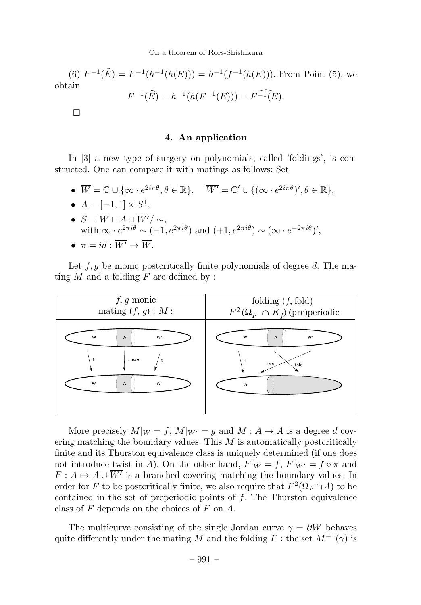(6)  $F^{-1}(\hat{E}) = F^{-1}(h^{-1}(h(E))) = h^{-1}(f^{-1}(h(E)))$ . From Point (5), we obtain  $F^{-1}(\widehat{E}) = h^{-1}(h(F^{-1}(E))) = F^{-1}(E).$ 

 $\Box$ 

# 4. An application

In [3] a new type of surgery on polynomials, called 'foldings', is constructed. One can compare it with matings as follows: Set

- $\overline{W} = \mathbb{C} \cup \{ \infty \cdot e^{2i\pi\theta}, \theta \in \mathbb{R} \}, \quad \overline{W'} = \mathbb{C'} \cup \{ (\infty \cdot e^{2i\pi\theta})', \theta \in \mathbb{R} \},\$
- $A = [-1, 1] \times S^1$ , •  $S = W \sqcup A \sqcup W'/ \sim,$ with  $\infty \cdot e^{2\pi i \theta} \sim (-1, e^{2\pi i \theta})$  and  $(+1, e^{2\pi i \theta}) \sim (\infty \cdot e^{-2\pi i \theta})'$ ,  $\bullet \ \pi = id \cdot \overline{W'} \rightarrow \overline{W}$

Let  $f, g$  be monic postcritically finite polynomials of degree d. The mating  $M$  and a folding  $F$  are defined by :



More precisely  $M|_W = f$ ,  $M|_{W'} = g$  and  $M: A \to A$  is a degree d covering matching the boundary values. This  $M$  is automatically postcritically finite and its Thurston equivalence class is uniquely determined (if one does not introduce twist in A). On the other hand,  $F|_W = f$ ,  $F|_{W'} = f \circ \pi$  and  $F: A \mapsto A \cup \overline{W'}$  is a branched covering matching the boundary values. In order for F to be postcritically finite, we also require that  $F^2(\Omega_F \cap A)$  to be contained in the set of preperiodic points of  $f$ . The Thurston equivalence class of  $F$  depends on the choices of  $F$  on  $A$ .

The multicurve consisting of the single Jordan curve  $\gamma = \partial W$  behaves quite differently under the mating M and the folding F : the set  $M^{-1}(\gamma)$  is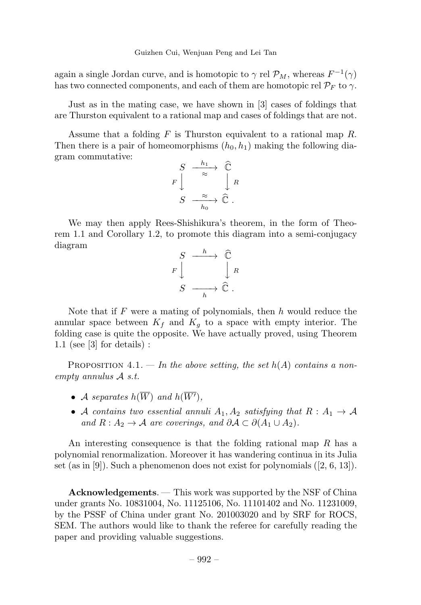again a single Jordan curve, and is homotopic to  $\gamma$  rel  $\mathcal{P}_M$ , whereas  $F^{-1}(\gamma)$ has two connected components, and each of them are homotopic rel  $\mathcal{P}_F$  to  $\gamma$ .

Just as in the mating case, we have shown in [3] cases of foldings that are Thurston equivalent to a rational map and cases of foldings that are not.

Assume that a folding  $F$  is Thurston equivalent to a rational map  $R$ . Then there is a pair of homeomorphisms  $(h_0, h_1)$  making the following diagram commutative:

$$
\begin{array}{ccc}\nS & \xrightarrow{h_1} & \widehat{\mathbb{C}} \\
F \downarrow & & \downarrow R \\
S & \xrightarrow{ \approx} & \widehat{\mathbb{C}} \\
& & h_0\n\end{array}
$$

We may then apply Rees-Shishikura's theorem, in the form of Theorem 1.1 and Corollary 1.2, to promote this diagram into a semi-conjugacy diagram



Note that if  $F$  were a mating of polynomials, then  $h$  would reduce the annular space between  $K_f$  and  $K_g$  to a space with empty interior. The folding case is quite the opposite. We have actually proved, using Theorem 1.1 (see [3] for details) :

PROPOSITION 4.1. — In the above setting, the set  $h(A)$  contains a nonempty annulus A s.t.

- A separates  $h(W)$  and  $h(W')$ ,
- A contains two essential annuli  $A_1, A_2$  satisfying that  $R : A_1 \rightarrow A$ and  $R: A_2 \to \mathcal{A}$  are coverings, and  $\partial \mathcal{A} \subset \partial (A_1 \cup A_2)$ .

An interesting consequence is that the folding rational map R has a polynomial renormalization. Moreover it has wandering continua in its Julia set (as in  $[9]$ ). Such a phenomenon does not exist for polynomials  $(2, 6, 13]$ ).

Acknowledgements. — This work was supported by the NSF of China under grants No. 10831004, No. 11125106, No. 11101402 and No. 11231009, by the PSSF of China under grant No. 201003020 and by SRF for ROCS, SEM. The authors would like to thank the referee for carefully reading the paper and providing valuable suggestions.